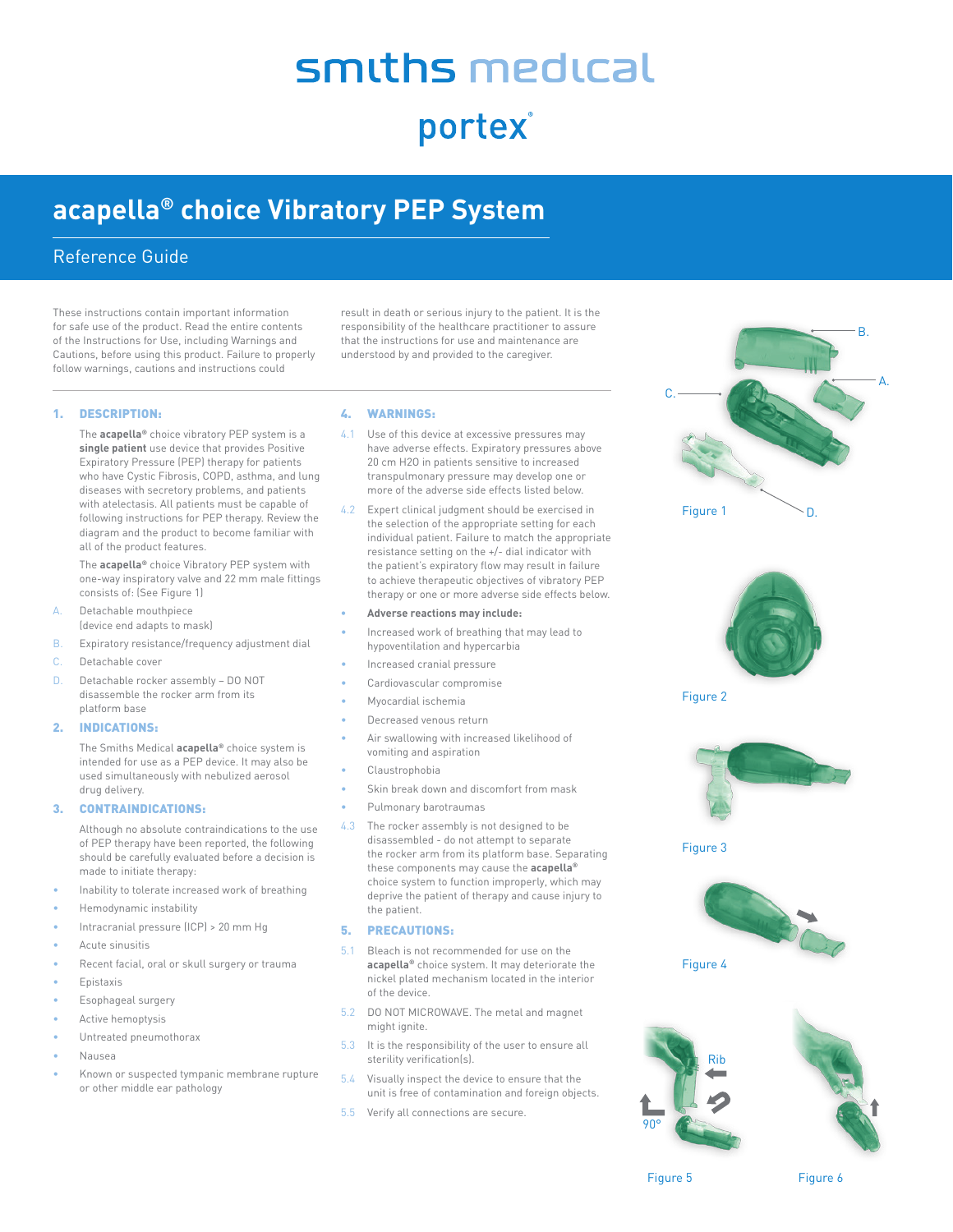# smiths medical

portex

## **acapella® choice Vibratory PEP System**

### Reference Guide

These instructions contain important information for safe use of the product. Read the entire contents of the Instructions for Use, including Warnings and Cautions, before using this product. Failure to properly follow warnings, cautions and instructions could

result in death or serious injury to the patient. It is the responsibility of the healthcare practitioner to assure that the instructions for use and maintenance are understood by and provided to the caregiver.

#### 1. DESCRIPTION:

The **acapella®** choice vibratory PEP system is a **single patient** use device that provides Positive Expiratory Pressure (PEP) therapy for patients who have Cystic Fibrosis, COPD, asthma, and lung diseases with secretory problems, and patients with atelectasis. All patients must be capable of following instructions for PEP therapy. Review the diagram and the product to become familiar with all of the product features.

The **acapella®** choice Vibratory PEP system with one-way inspiratory valve and 22 mm male fittings consists of: (See Figure 1)

- A. Detachable mouthpiece (device end adapts to mask)
- B. Expiratory resistance/frequency adjustment dial
- C. Detachable cover
- D. Detachable rocker assembly DO NOT disassemble the rocker arm from its platform base

#### 2. INDICATIONS:

The Smiths Medical **acapella®** choice system is intended for use as a PEP device. It may also be used simultaneously with nebulized aerosol drug delivery.

#### 3. CONTRAINDICATIONS:

Although no absolute contraindications to the use of PEP therapy have been reported, the following should be carefully evaluated before a decision is made to initiate therapy:

- Inability to tolerate increased work of breathing
- Hemodynamic instability
- Intracranial pressure (ICP) > 20 mm Hg
- Acute sinusitis
- Recent facial, oral or skull surgery or trauma
- **Epistaxis**
- Esophageal surgery
- Active hemoptysis
- Untreated pneumothorax
- Nausea
- Known or suspected tympanic membrane rupture or other middle ear pathology

#### 4. WARNINGS:

- 4.1 Use of this device at excessive pressures may have adverse effects. Expiratory pressures above 20 cm H2O in patients sensitive to increased transpulmonary pressure may develop one or more of the adverse side effects listed below.
- 4.2 Expert clinical judgment should be exercised in the selection of the appropriate setting for each individual patient. Failure to match the appropriate resistance setting on the +/- dial indicator with the patient's expiratory flow may result in failure to achieve therapeutic objectives of vibratory PEP therapy or one or more adverse side effects below.
- **• Adverse reactions may include:**
- Increased work of breathing that may lead to hypoventilation and hypercarbia
- Increased cranial pressure
- Cardiovascular compromise
- Myocardial ischemia
- Decreased venous return
- Air swallowing with increased likelihood of vomiting and aspiration
- Claustrophobia
- Skin break down and discomfort from mask
- Pulmonary barotraumas
- 4.3 The rocker assembly is not designed to be disassembled - do not attempt to separate the rocker arm from its platform base. Separating these components may cause the **acapella®** choice system to function improperly, which may deprive the patient of therapy and cause injury to the patient.

#### 5. PRECAUTIONS:

- 5.1 Bleach is not recommended for use on the **acapella®** choice system. It may deteriorate the nickel plated mechanism located in the interior of the device.
- 5.2 DO NOT MICROWAVE. The metal and magnet might ignite.
- 5.3 It is the responsibility of the user to ensure all sterility verification(s).
- 5.4 Visually inspect the device to ensure that the unit is free of contamination and foreign objects.
- 5.5 Verify all connections are secure.





Figure 2



Figure 3





Figure 6